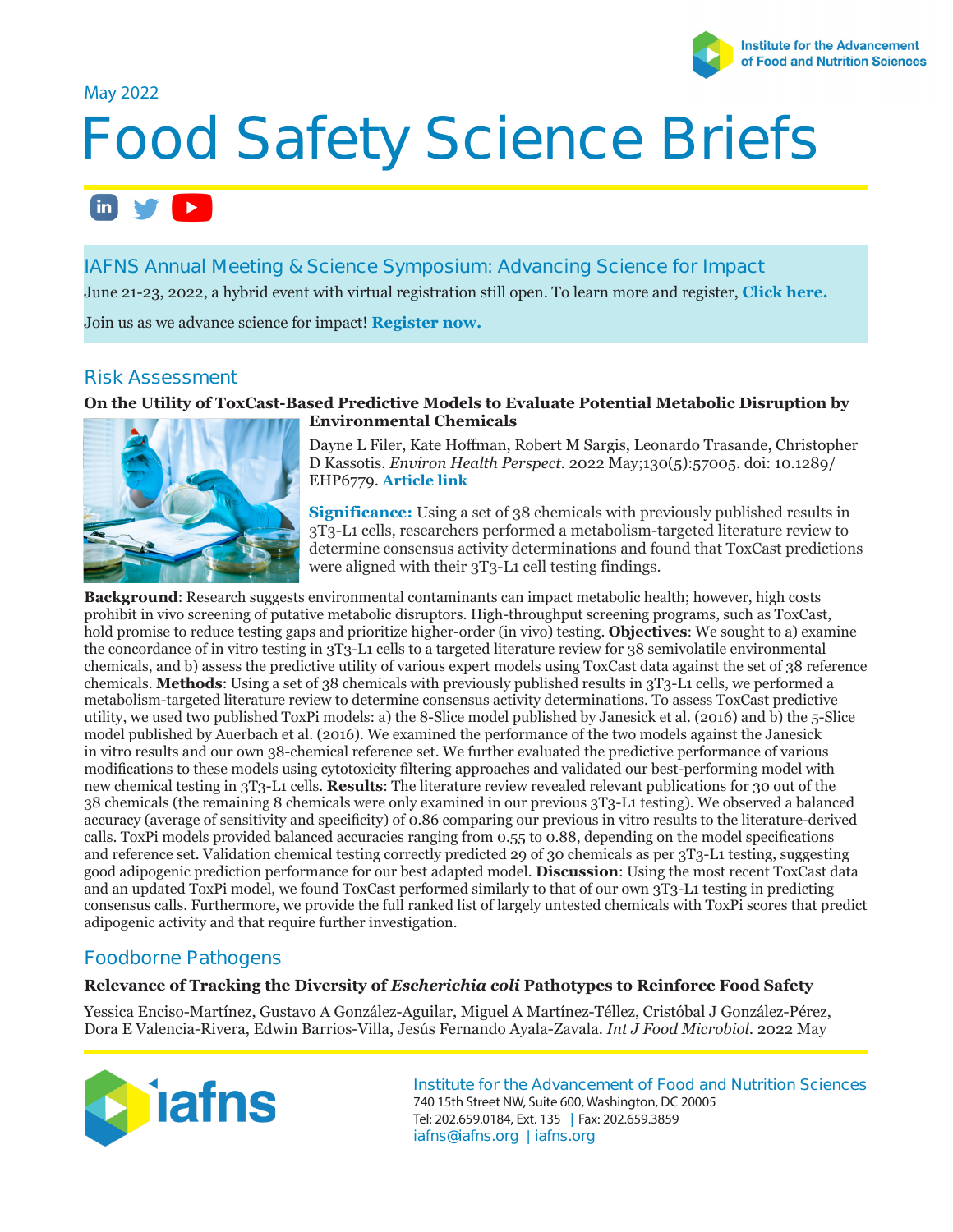

## May 2022

# **Food Safety Science Briefs**

#### $\mathbf{in}$   $\mathbf{v}$  $\blacktriangleright$  .

# **IAFNS Annual Meeting & Science Symposium: Advancing Science for Impact**

June 21-23, 2022, a hybrid event with virtual registration still open. To learn more and register, **[Click here.](https://iafns.org/event/iafns-2022-annual-meeting/)**

Join us as we advance science for impact! **[Register now.](https://iafns.org/event/iafns-2022-annual-meeting/)**

# **Risk Assessment**

### **On the Utility of ToxCast-Based Predictive Models to Evaluate Potential Metabolic Disruption by Environmental Chemicals**



Dayne L Filer, Kate Hoffman, Robert M Sargis, Leonardo Trasande, Christopher D Kassotis. *[Environ Health](https://ehp.niehs.nih.gov/doi/10.1289/EHP6779) Perspect.* 2022 May;130(5):57005. doi: 10.1289/ EHP6779. **Article link**

**Significance:** Using a set of 38 chemicals with previously published results in 3T3-L1 cells, researchers performed a metabolism-targeted literature review to determine consensus activity determinations and found that ToxCast predictions were aligned with their 3T3-L1 cell testing findings.

**Background**: Research suggests environmental contaminants can impact metabolic health; however, high costs prohibit in vivo screening of putative metabolic disruptors. High-throughput screening programs, such as ToxCast, hold promise to reduce testing gaps and prioritize higher-order (in vivo) testing. **Objectives**: We sought to a) examine the concordance of in vitro testing in 3T3-L1 cells to a targeted literature review for 38 semivolatile environmental chemicals, and b) assess the predictive utility of various expert models using ToxCast data against the set of 38 reference chemicals. **Methods**: Using a set of 38 chemicals with previously published results in 3T3-L1 cells, we performed a metabolism-targeted literature review to determine consensus activity determinations. To assess ToxCast predictive utility, we used two published ToxPi models: a) the 8-Slice model published by Janesick et al. (2016) and b) the 5-Slice model published by Auerbach et al. (2016). We examined the performance of the two models against the Janesick in vitro results and our own 38-chemical reference set. We further evaluated the predictive performance of various modifications to these models using cytotoxicity filtering approaches and validated our best-performing model with new chemical testing in 3T3-L1 cells. **Results**: The literature review revealed relevant publications for 30 out of the 38 chemicals (the remaining 8 chemicals were only examined in our previous 3T3-L1 testing). We observed a balanced accuracy (average of sensitivity and specificity) of 0.86 comparing our previous in vitro results to the literature-derived calls. ToxPi models provided balanced accuracies ranging from 0.55 to 0.88, depending on the model specifications and reference set. Validation chemical testing correctly predicted 29 of 30 chemicals as per 3T3-L1 testing, suggesting good adipogenic prediction performance for our best adapted model. **Discussion**: Using the most recent ToxCast data and an updated ToxPi model, we found ToxCast performed similarly to that of our own 3T3-L1 testing in predicting consensus calls. Furthermore, we provide the full ranked list of largely untested chemicals with ToxPi scores that predict adipogenic activity and that require further investigation.

# **Foodborne Pathogens**

#### **Relevance of Tracking the Diversity of** *Escherichia coli* **Pathotypes to Reinforce Food Safety**

Yessica Enciso-Martínez, Gustavo A González-Aguilar, Miguel A Martínez-Téllez, Cristóbal J González-Pérez, Dora E Valencia-Rivera, Edwin Barrios-Villa, Jesús Fernando Ayala-Zavala. *Int J Food Microbiol.* 2022 May



**Institute for the Advancement of Food and Nutrition Sciences** 740 15th Street NW, Suite 600, Washington, DC 20005 Tel: 202.659.0184, Ext. 135 **|** Fax: 202.659.3859 **iafns@iafns.org | iafns.org**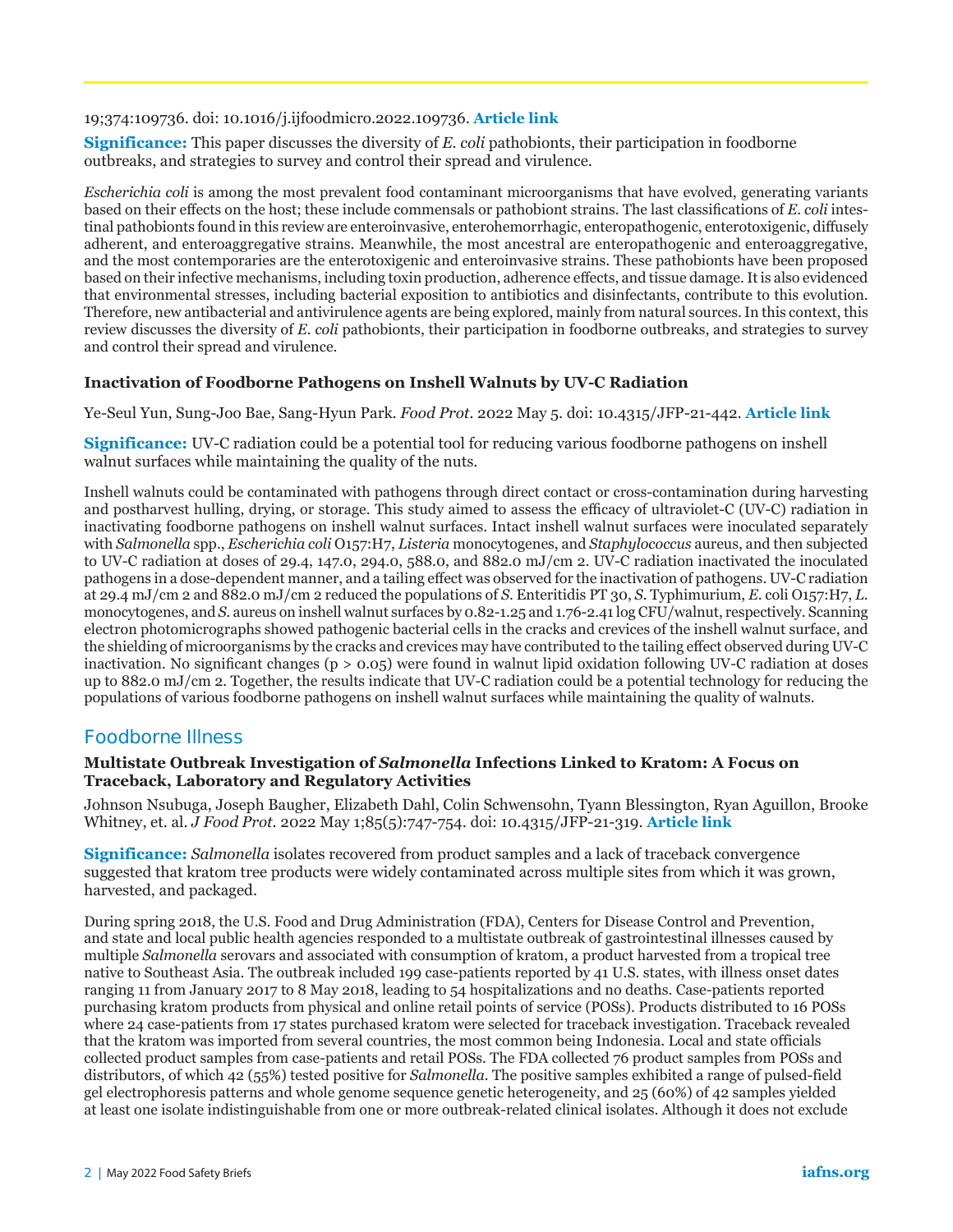#### 19;374:109736. doi: 10.1016/j.ijfoodmicro.2022.109736. **[Article link](https://www.sciencedirect.com/science/article/abs/pii/S0168160522002082?via%3Dihub)**

**Significance:** This paper discusses the diversity of *E. coli* pathobionts, their participation in foodborne outbreaks, and strategies to survey and control their spread and virulence.

*Escherichia coli* is among the most prevalent food contaminant microorganisms that have evolved, generating variants based on their effects on the host; these include commensals or pathobiont strains. The last classifications of *E. coli* intestinal pathobionts found in this review are enteroinvasive, enterohemorrhagic, enteropathogenic, enterotoxigenic, diffusely adherent, and enteroaggregative strains. Meanwhile, the most ancestral are enteropathogenic and enteroaggregative, and the most contemporaries are the enterotoxigenic and enteroinvasive strains. These pathobionts have been proposed based on their infective mechanisms, including toxin production, adherence effects, and tissue damage. It is also evidenced that environmental stresses, including bacterial exposition to antibiotics and disinfectants, contribute to this evolution. Therefore, new antibacterial and antivirulence agents are being explored, mainly from natural sources. In this context, this review discusses the diversity of *E. coli* pathobionts, their participation in foodborne outbreaks, and strategies to survey and control their spread and virulence.

#### **Inactivation of Foodborne Pathogens on Inshell Walnuts by UV-C Radiation**

Ye-Seul Yun, Sung-Joo Bae, Sang-Hyun Park. *Food Prot.* 2022 May 5. doi: 10.4315/JFP-21-442. **[Article link](https://meridian.allenpress.com/jfp/article-abstract/doi/10.4315/JFP-21-442/481336/Inactivation-of-Foodborne-Pathogens-on-Inshell)**

**Significance:** UV-C radiation could be a potential tool for reducing various foodborne pathogens on inshell walnut surfaces while maintaining the quality of the nuts.

Inshell walnuts could be contaminated with pathogens through direct contact or cross-contamination during harvesting and postharvest hulling, drying, or storage. This study aimed to assess the efficacy of ultraviolet-C (UV-C) radiation in inactivating foodborne pathogens on inshell walnut surfaces. Intact inshell walnut surfaces were inoculated separately with *Salmonella* spp., *Escherichia coli* O157:H7, *Listeria* monocytogenes, and *Staphylococcus* aureus, and then subjected to UV-C radiation at doses of 29.4, 147.0, 294.0, 588.0, and 882.0 mJ/cm 2. UV-C radiation inactivated the inoculated pathogens in a dose-dependent manner, and a tailing effect was observed for the inactivation of pathogens. UV-C radiation at 29.4 mJ/cm 2 and 882.0 mJ/cm 2 reduced the populations of *S*. Enteritidis PT 30, *S.* Typhimurium, *E*. coli O157:H7, *L.* monocytogenes, and *S.* aureus on inshell walnut surfaces by 0.82-1.25 and 1.76-2.41 log CFU/walnut, respectively. Scanning electron photomicrographs showed pathogenic bacterial cells in the cracks and crevices of the inshell walnut surface, and the shielding of microorganisms by the cracks and crevices may have contributed to the tailing effect observed during UV-C inactivation. No significant changes ( $p > 0.05$ ) were found in walnut lipid oxidation following UV-C radiation at doses up to 882.0 mJ/cm 2. Together, the results indicate that UV-C radiation could be a potential technology for reducing the populations of various foodborne pathogens on inshell walnut surfaces while maintaining the quality of walnuts.

## **Foodborne Illness**

#### **Multistate Outbreak Investigation of** *Salmonella* **Infections Linked to Kratom: A Focus on Traceback, Laboratory and Regulatory Activities**

Johnson Nsubuga, Joseph Baugher, Elizabeth Dahl, Colin Schwensohn, Tyann Blessington, Ryan Aguillon, Brooke Whitney, et. al. *J Food Prot.* 2022 May 1;85(5):747-754. doi: 10.4315/JFP-21-319. **[Article link](https://meridian.allenpress.com/jfp/article/85/5/747/477445/Multistate-Outbreak-Investigation-of-Salmonella)**

**Significance:** *Salmonella* isolates recovered from product samples and a lack of traceback convergence suggested that kratom tree products were widely contaminated across multiple sites from which it was grown, harvested, and packaged.

During spring 2018, the U.S. Food and Drug Administration (FDA), Centers for Disease Control and Prevention, and state and local public health agencies responded to a multistate outbreak of gastrointestinal illnesses caused by multiple *Salmonella* serovars and associated with consumption of kratom, a product harvested from a tropical tree native to Southeast Asia. The outbreak included 199 case-patients reported by 41 U.S. states, with illness onset dates ranging 11 from January 2017 to 8 May 2018, leading to 54 hospitalizations and no deaths. Case-patients reported purchasing kratom products from physical and online retail points of service (POSs). Products distributed to 16 POSs where 24 case-patients from 17 states purchased kratom were selected for traceback investigation. Traceback revealed that the kratom was imported from several countries, the most common being Indonesia. Local and state officials collected product samples from case-patients and retail POSs. The FDA collected 76 product samples from POSs and distributors, of which 42 (55%) tested positive for *Salmonella.* The positive samples exhibited a range of pulsed-field gel electrophoresis patterns and whole genome sequence genetic heterogeneity, and 25 (60%) of 42 samples yielded at least one isolate indistinguishable from one or more outbreak-related clinical isolates. Although it does not exclude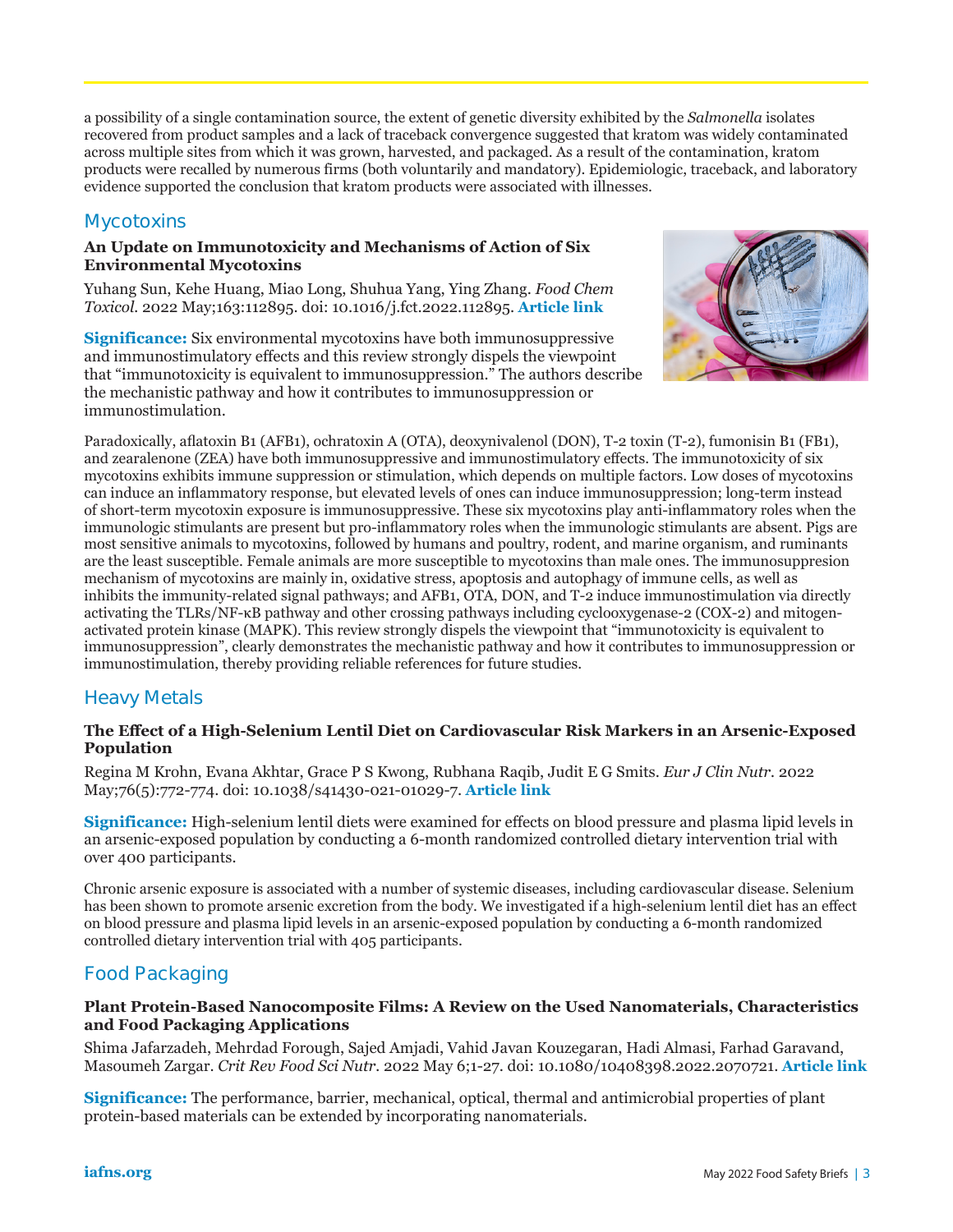a possibility of a single contamination source, the extent of genetic diversity exhibited by the *Salmonella* isolates recovered from product samples and a lack of traceback convergence suggested that kratom was widely contaminated across multiple sites from which it was grown, harvested, and packaged. As a result of the contamination, kratom products were recalled by numerous firms (both voluntarily and mandatory). Epidemiologic, traceback, and laboratory evidence supported the conclusion that kratom products were associated with illnesses.

# **Mycotoxins**

#### **An Update on Immunotoxicity and Mechanisms of Action of Six Environmental Mycotoxins**

Yuhang Sun, Kehe Huang, Miao Long, Shuhua Yang, Ying Zhang. *Food Chem Toxicol.* 2022 May;163:112895. doi: 10.1016/j.fct.2022.112895. **[Article link](https://www.sciencedirect.com/science/article/abs/pii/S027869152200093X?via%3Dihub)**

**Significance:** Six environmental mycotoxins have both immunosuppressive and immunostimulatory effects and this review strongly dispels the viewpoint that "immunotoxicity is equivalent to immunosuppression." The authors describe the mechanistic pathway and how it contributes to immunosuppression or immunostimulation.



Paradoxically, aflatoxin B1 (AFB1), ochratoxin A (OTA), deoxynivalenol (DON), T-2 toxin (T-2), fumonisin B1 (FB1), and zearalenone (ZEA) have both immunosuppressive and immunostimulatory effects. The immunotoxicity of six mycotoxins exhibits immune suppression or stimulation, which depends on multiple factors. Low doses of mycotoxins can induce an inflammatory response, but elevated levels of ones can induce immunosuppression; long-term instead of short-term mycotoxin exposure is immunosuppressive. These six mycotoxins play anti-inflammatory roles when the immunologic stimulants are present but pro-inflammatory roles when the immunologic stimulants are absent. Pigs are most sensitive animals to mycotoxins, followed by humans and poultry, rodent, and marine organism, and ruminants are the least susceptible. Female animals are more susceptible to mycotoxins than male ones. The immunosuppresion mechanism of mycotoxins are mainly in, oxidative stress, apoptosis and autophagy of immune cells, as well as inhibits the immunity-related signal pathways; and AFB1, OTA, DON, and T-2 induce immunostimulation via directly activating the TLRs/NF-κB pathway and other crossing pathways including cyclooxygenase-2 (COX-2) and mitogenactivated protein kinase (MAPK). This review strongly dispels the viewpoint that "immunotoxicity is equivalent to immunosuppression", clearly demonstrates the mechanistic pathway and how it contributes to immunosuppression or immunostimulation, thereby providing reliable references for future studies.

# **Heavy Metals**

## **The Effect of a High-Selenium Lentil Diet on Cardiovascular Risk Markers in an Arsenic-Exposed Population**

Regina M Krohn, Evana Akhtar, Grace P S Kwong, Rubhana Raqib, Judit E G Smits. *Eur J Clin Nutr.* 2022 May;76(5):772-774. doi: 10.1038/s41430-021-01029-7. **[Article link](https://europepmc.org/article/med/34675401)**

**Significance:** High-selenium lentil diets were examined for effects on blood pressure and plasma lipid levels in an arsenic-exposed population by conducting a 6-month randomized controlled dietary intervention trial with over 400 participants.

Chronic arsenic exposure is associated with a number of systemic diseases, including cardiovascular disease. Selenium has been shown to promote arsenic excretion from the body. We investigated if a high-selenium lentil diet has an effect on blood pressure and plasma lipid levels in an arsenic-exposed population by conducting a 6-month randomized controlled dietary intervention trial with 405 participants.

# **Food Packaging**

### **Plant Protein-Based Nanocomposite Films: A Review on the Used Nanomaterials, Characteristics and Food Packaging Applications**

Shima Jafarzadeh, Mehrdad Forough, Sajed Amjadi, Vahid Javan Kouzegaran, Hadi Almasi, Farhad Garavand, Masoumeh Zargar. *Crit Rev Food Sci Nutr.* 2022 May 6;1-27. doi: 10.1080/10408398.2022.2070721. **[Article link](https://www.tandfonline.com/doi/abs/10.1080/10408398.2022.2070721)**

**Significance:** The performance, barrier, mechanical, optical, thermal and antimicrobial properties of plant protein-based materials can be extended by incorporating nanomaterials.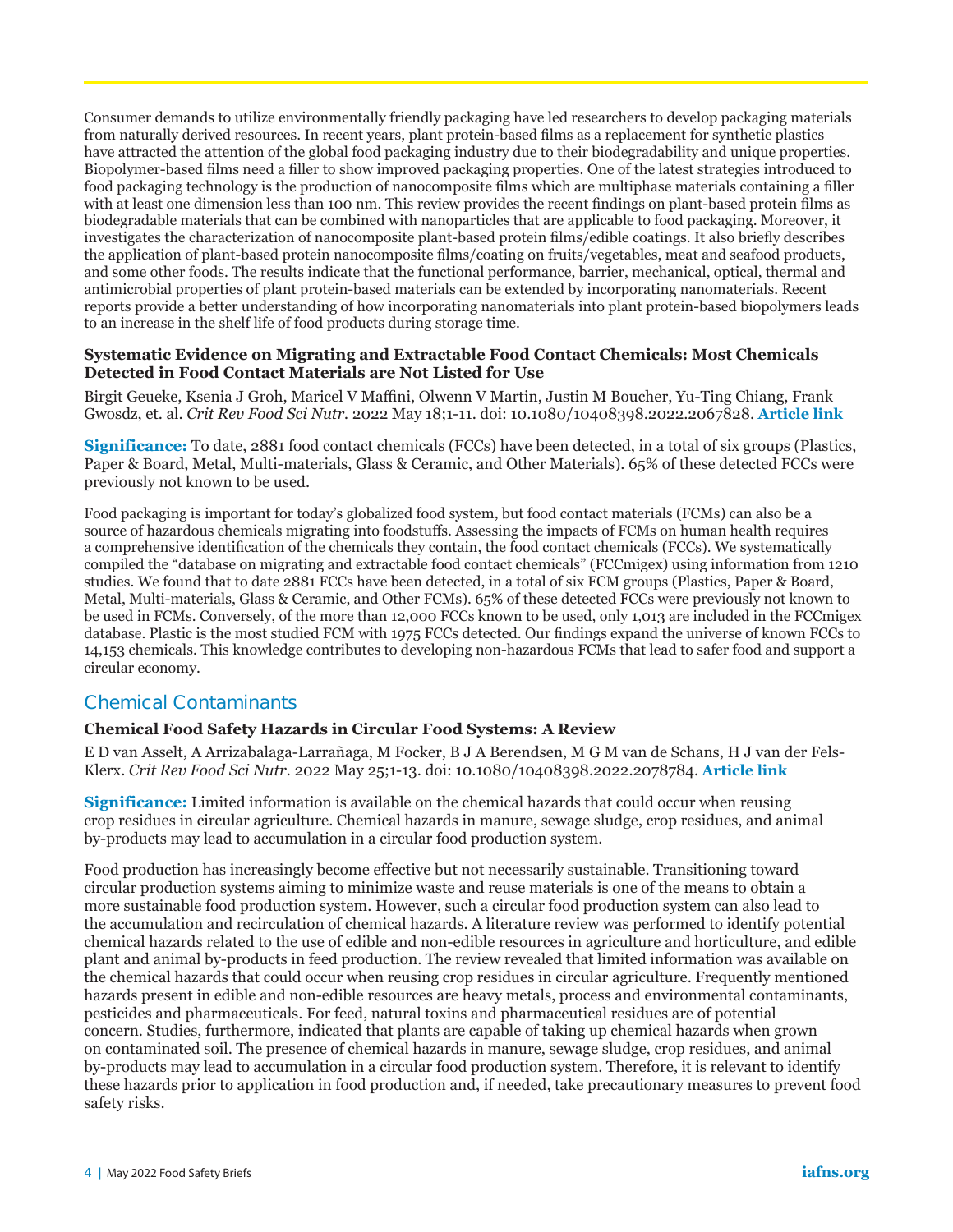Consumer demands to utilize environmentally friendly packaging have led researchers to develop packaging materials from naturally derived resources. In recent years, plant protein-based films as a replacement for synthetic plastics have attracted the attention of the global food packaging industry due to their biodegradability and unique properties. Biopolymer-based films need a filler to show improved packaging properties. One of the latest strategies introduced to food packaging technology is the production of nanocomposite films which are multiphase materials containing a filler with at least one dimension less than 100 nm. This review provides the recent findings on plant-based protein films as biodegradable materials that can be combined with nanoparticles that are applicable to food packaging. Moreover, it investigates the characterization of nanocomposite plant-based protein films/edible coatings. It also briefly describes the application of plant-based protein nanocomposite films/coating on fruits/vegetables, meat and seafood products, and some other foods. The results indicate that the functional performance, barrier, mechanical, optical, thermal and antimicrobial properties of plant protein-based materials can be extended by incorporating nanomaterials. Recent reports provide a better understanding of how incorporating nanomaterials into plant protein-based biopolymers leads to an increase in the shelf life of food products during storage time.

#### **Systematic Evidence on Migrating and Extractable Food Contact Chemicals: Most Chemicals Detected in Food Contact Materials are Not Listed for Use**

Birgit Geueke, Ksenia J Groh, Maricel V Maffini, Olwenn V Martin, Justin M Boucher, Yu-Ting Chiang, Frank Gwosdz, et. al. *Crit Rev Food Sci Nutr.* 2022 May 18;1-11. doi: 10.1080/10408398.2022.2067828. **[Article link](https://www.tandfonline.com/doi/full/10.1080/10408398.2022.2067828)**

**Significance:** To date, 2881 food contact chemicals (FCCs) have been detected, in a total of six groups (Plastics, Paper & Board, Metal, Multi-materials, Glass & Ceramic, and Other Materials). 65% of these detected FCCs were previously not known to be used.

Food packaging is important for today's globalized food system, but food contact materials (FCMs) can also be a source of hazardous chemicals migrating into foodstuffs. Assessing the impacts of FCMs on human health requires a comprehensive identification of the chemicals they contain, the food contact chemicals (FCCs). We systematically compiled the "database on migrating and extractable food contact chemicals" (FCCmigex) using information from 1210 studies. We found that to date 2881 FCCs have been detected, in a total of six FCM groups (Plastics, Paper & Board, Metal, Multi-materials, Glass & Ceramic, and Other FCMs). 65% of these detected FCCs were previously not known to be used in FCMs. Conversely, of the more than 12,000 FCCs known to be used, only 1,013 are included in the FCCmigex database. Plastic is the most studied FCM with 1975 FCCs detected. Our findings expand the universe of known FCCs to 14,153 chemicals. This knowledge contributes to developing non-hazardous FCMs that lead to safer food and support a circular economy.

# **Chemical Contaminants**

## **Chemical Food Safety Hazards in Circular Food Systems: A Review**

E D van Asselt, A Arrizabalaga-Larrañaga, M Focker, B J A Berendsen, M G M van de Schans, H J van der Fels-Klerx. *Crit Rev Food Sci Nutr.* 2022 May 25;1-13. doi: 10.1080/10408398.2022.2078784. **[Article link](https://www.tandfonline.com/doi/full/10.1080/10408398.2022.2078784)**

**Significance:** Limited information is available on the chemical hazards that could occur when reusing crop residues in circular agriculture. Chemical hazards in manure, sewage sludge, crop residues, and animal by-products may lead to accumulation in a circular food production system.

Food production has increasingly become effective but not necessarily sustainable. Transitioning toward circular production systems aiming to minimize waste and reuse materials is one of the means to obtain a more sustainable food production system. However, such a circular food production system can also lead to the accumulation and recirculation of chemical hazards. A literature review was performed to identify potential chemical hazards related to the use of edible and non-edible resources in agriculture and horticulture, and edible plant and animal by-products in feed production. The review revealed that limited information was available on the chemical hazards that could occur when reusing crop residues in circular agriculture. Frequently mentioned hazards present in edible and non-edible resources are heavy metals, process and environmental contaminants, pesticides and pharmaceuticals. For feed, natural toxins and pharmaceutical residues are of potential concern. Studies, furthermore, indicated that plants are capable of taking up chemical hazards when grown on contaminated soil. The presence of chemical hazards in manure, sewage sludge, crop residues, and animal by-products may lead to accumulation in a circular food production system. Therefore, it is relevant to identify these hazards prior to application in food production and, if needed, take precautionary measures to prevent food safety risks.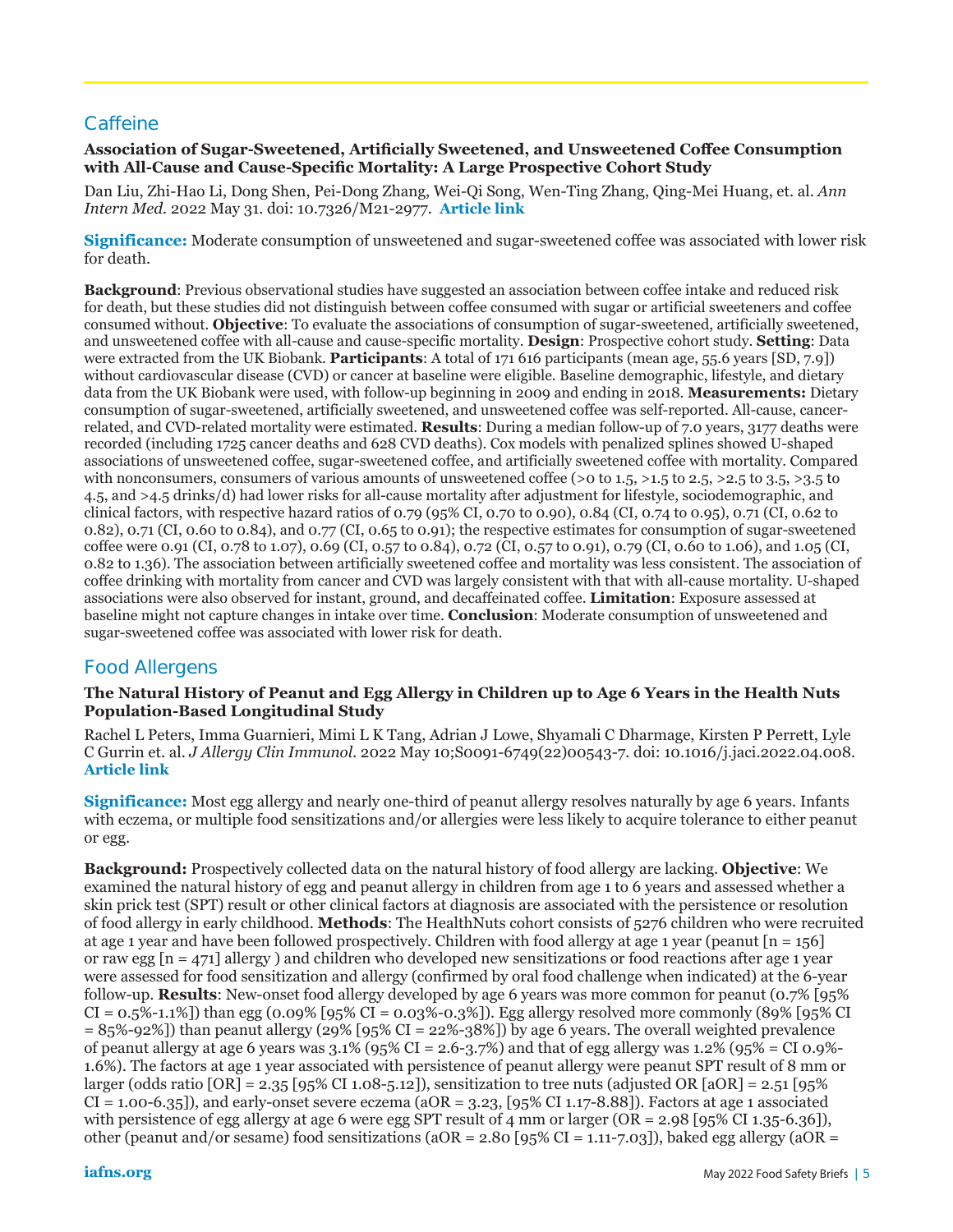# **Caffeine**

## **Association of Sugar-Sweetened, Artificially Sweetened, and Unsweetened Coffee Consumption with All-Cause and Cause-Specific Mortality: A Large Prospective Cohort Study**

Dan Liu, Zhi-Hao Li, Dong Shen, Pei-Dong Zhang, Wei-Qi Song, Wen-Ting Zhang, Qing-Mei Huang, et. al. *Ann Intern Med.* 2022 May 31. doi: 10.7326/M21-2977. **[Article link](https://www.acpjournals.org/doi/10.7326/M21-2977)**

**Significance:** Moderate consumption of unsweetened and sugar-sweetened coffee was associated with lower risk for death.

**Background**: Previous observational studies have suggested an association between coffee intake and reduced risk for death, but these studies did not distinguish between coffee consumed with sugar or artificial sweeteners and coffee consumed without. **Objective**: To evaluate the associations of consumption of sugar-sweetened, artificially sweetened, and unsweetened coffee with all-cause and cause-specific mortality. **Design**: Prospective cohort study. **Setting**: Data were extracted from the UK Biobank. **Participants**: A total of 171 616 participants (mean age, 55.6 years [SD, 7.9]) without cardiovascular disease (CVD) or cancer at baseline were eligible. Baseline demographic, lifestyle, and dietary data from the UK Biobank were used, with follow-up beginning in 2009 and ending in 2018. **Measurements:** Dietary consumption of sugar-sweetened, artificially sweetened, and unsweetened coffee was self-reported. All-cause, cancerrelated, and CVD-related mortality were estimated. **Results**: During a median follow-up of 7.0 years, 3177 deaths were recorded (including 1725 cancer deaths and 628 CVD deaths). Cox models with penalized splines showed U-shaped associations of unsweetened coffee, sugar-sweetened coffee, and artificially sweetened coffee with mortality. Compared with nonconsumers, consumers of various amounts of unsweetened coffee ( $>$ 0 to 1.5,  $>$ 1.5 to 2.5,  $>$ 2.5 to 3.5,  $>$ 3.5 to 4.5, and >4.5 drinks/d) had lower risks for all-cause mortality after adjustment for lifestyle, sociodemographic, and clinical factors, with respective hazard ratios of 0.79 (95% CI, 0.70 to 0.90), 0.84 (CI, 0.74 to 0.95), 0.71 (CI, 0.62 to 0.82), 0.71 (CI, 0.60 to 0.84), and 0.77 (CI, 0.65 to 0.91); the respective estimates for consumption of sugar-sweetened coffee were 0.91 (CI, 0.78 to 1.07), 0.69 (CI, 0.57 to 0.84), 0.72 (CI, 0.57 to 0.91), 0.79 (CI, 0.60 to 1.06), and 1.05 (CI, 0.82 to 1.36). The association between artificially sweetened coffee and mortality was less consistent. The association of coffee drinking with mortality from cancer and CVD was largely consistent with that with all-cause mortality. U-shaped associations were also observed for instant, ground, and decaffeinated coffee. **Limitation**: Exposure assessed at baseline might not capture changes in intake over time. **Conclusion**: Moderate consumption of unsweetened and sugar-sweetened coffee was associated with lower risk for death.

# **Food Allergens**

### **The Natural History of Peanut and Egg Allergy in Children up to Age 6 Years in the Health Nuts Population-Based Longitudinal Study**

Rachel L Peters, Imma Guarnieri, Mimi L K Tang, Adrian J Lowe, Shyamali C Dharmage, Kirsten P Perrett, Lyle C Gurrin et. al. *J Allergy Clin Immunol.* 2022 May 10;S0091-6749(22)00543-7. doi: 10.1016/j.jaci.2022.04.008. **[Article link](https://www.tandfonline.com/doi/abs/10.1080/10408398.2022.2075312)**

**Significance:** Most egg allergy and nearly one-third of peanut allergy resolves naturally by age 6 years. Infants with eczema, or multiple food sensitizations and/or allergies were less likely to acquire tolerance to either peanut or egg.

**Background:** Prospectively collected data on the natural history of food allergy are lacking. **Objective**: We examined the natural history of egg and peanut allergy in children from age 1 to 6 years and assessed whether a skin prick test (SPT) result or other clinical factors at diagnosis are associated with the persistence or resolution of food allergy in early childhood. **Methods**: The HealthNuts cohort consists of 5276 children who were recruited at age 1 year and have been followed prospectively. Children with food allergy at age 1 year (peanut  $[n = 156]$ ) or raw egg [n = 471] allergy ) and children who developed new sensitizations or food reactions after age 1 year were assessed for food sensitization and allergy (confirmed by oral food challenge when indicated) at the 6-year follow-up. **Results**: New-onset food allergy developed by age 6 years was more common for peanut (0.7% [95%  $CI = 0.5\% - 1.1\%$ ) than egg (0.09% [95% CI = 0.03%-0.3%]). Egg allergy resolved more commonly (89% [95% CI  $= 85\% - 92\%$ ]) than peanut allergy (29% [95% CI = 22%-38%]) by age 6 years. The overall weighted prevalence of peanut allergy at age 6 years was  $3.1\%$  (95% CI = 2.6-3.7%) and that of egg allergy was  $1.2\%$  (95% = CI 0.9%-1.6%). The factors at age 1 year associated with persistence of peanut allergy were peanut SPT result of 8 mm or larger (odds ratio  $[OR] = 2.35$  [95% CI 1.08-5.12]), sensitization to tree nuts (adjusted OR  $[OR] = 2.51$  [95%  $CI = 1.00-6.35$ ]), and early-onset severe eczema (aOR = 3.23, [95% CI 1.17-8.88]). Factors at age 1 associated with persistence of egg allergy at age 6 were egg SPT result of 4 mm or larger (OR = 2.98 [95% CI 1.35-6.36]), other (peanut and/or sesame) food sensitizations (aOR = 2.80 [95% CI = 1.11-7.03]), baked egg allergy (aOR =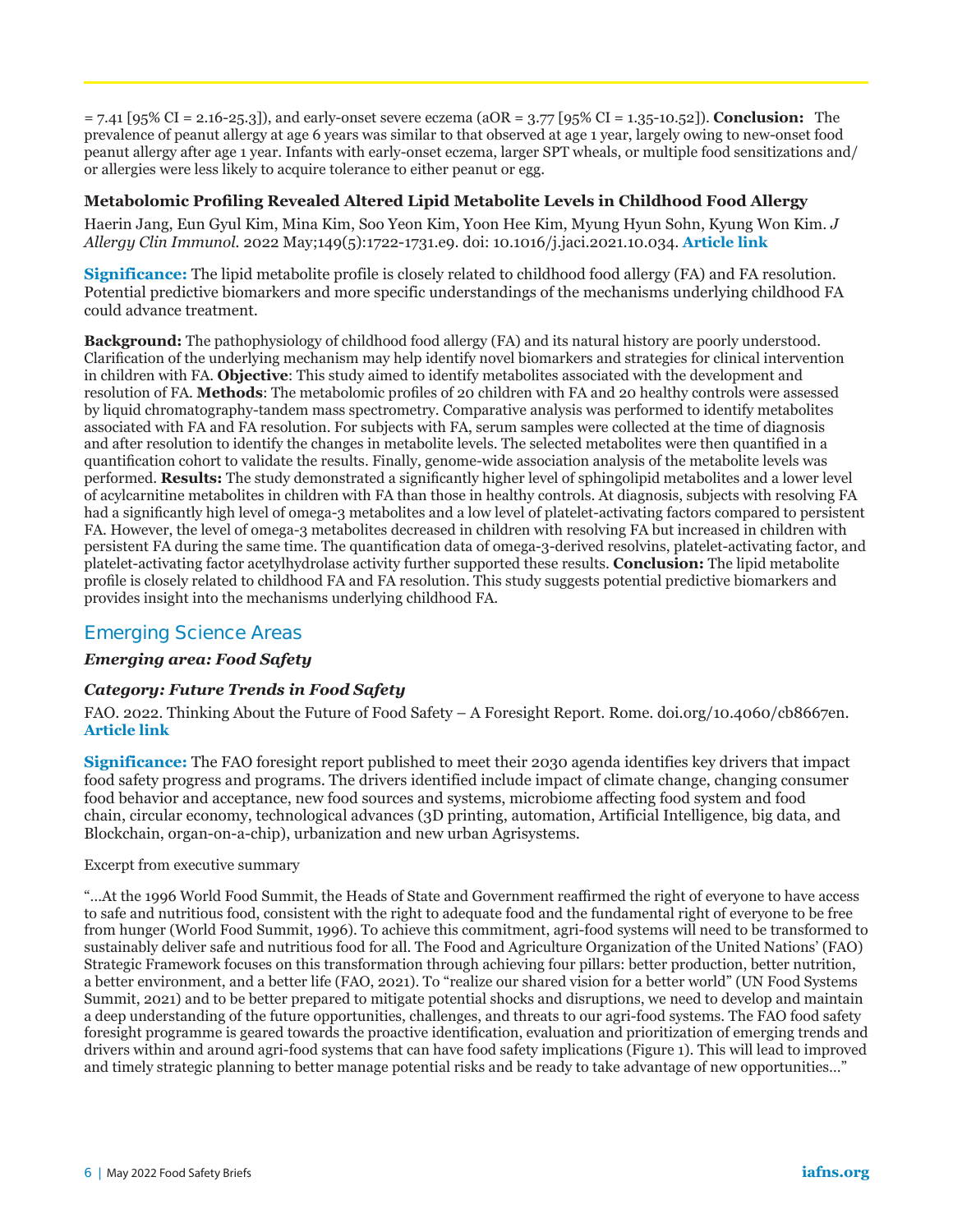= 7.41 [95% CI = 2.16-25.3]), and early-onset severe eczema (aOR = 3.77 [95% CI = 1.35-10.52]). **Conclusion:** The prevalence of peanut allergy at age 6 years was similar to that observed at age 1 year, largely owing to new-onset food peanut allergy after age 1 year. Infants with early-onset eczema, larger SPT wheals, or multiple food sensitizations and/ or allergies were less likely to acquire tolerance to either peanut or egg.

## **Metabolomic Profiling Revealed Altered Lipid Metabolite Levels in Childhood Food Allergy**

Haerin Jang, Eun Gyul Kim, Mina Kim, Soo Yeon Kim, Yoon Hee Kim, Myung Hyun [Sohn, Kyung Won Kim](https://www.jacionline.org/article/S0091-6749(21)01817-0/fulltext). *J Allergy Clin Immunol.* 2022 May;149(5):1722-1731.e9. doi: 10.1016/j.jaci.2021.10.034. **Article link**

**Significance:** The lipid metabolite profile is closely related to childhood food allergy (FA) and FA resolution. Potential predictive biomarkers and more specific understandings of the mechanisms underlying childhood FA could advance treatment.

**Background:** The pathophysiology of childhood food allergy (FA) and its natural history are poorly understood. Clarification of the underlying mechanism may help identify novel biomarkers and strategies for clinical intervention in children with FA. **Objective**: This study aimed to identify metabolites associated with the development and resolution of FA. **Methods**: The metabolomic profiles of 20 children with FA and 20 healthy controls were assessed by liquid chromatography-tandem mass spectrometry. Comparative analysis was performed to identify metabolites associated with FA and FA resolution. For subjects with FA, serum samples were collected at the time of diagnosis and after resolution to identify the changes in metabolite levels. The selected metabolites were then quantified in a quantification cohort to validate the results. Finally, genome-wide association analysis of the metabolite levels was performed. **Results:** The study demonstrated a significantly higher level of sphingolipid metabolites and a lower level of acylcarnitine metabolites in children with FA than those in healthy controls. At diagnosis, subjects with resolving FA had a significantly high level of omega-3 metabolites and a low level of platelet-activating factors compared to persistent FA. However, the level of omega-3 metabolites decreased in children with resolving FA but increased in children with persistent FA during the same time. The quantification data of omega-3-derived resolvins, platelet-activating factor, and platelet-activating factor acetylhydrolase activity further supported these results. **Conclusion:** The lipid metabolite profile is closely related to childhood FA and FA resolution. This study suggests potential predictive biomarkers and provides insight into the mechanisms underlying childhood FA.

# **Emerging Science Areas**

## *Emerging area: Food Safety*

## *Category: Future Trends in Food Safety*

FAO. 2022. Thinking About the Future of Food Safety – A Foresight Report. Rome. doi.org/10.4060/cb8667en. **[Article link](https://www.fao.org/documents/card/en/c/cb8667en)**

**Significance:** The FAO foresight report published to meet their 2030 agenda identifies key drivers that impact food safety progress and programs. The drivers identified include impact of climate change, changing consumer food behavior and acceptance, new food sources and systems, microbiome affecting food system and food chain, circular economy, technological advances (3D printing, automation, Artificial Intelligence, big data, and Blockchain, organ-on-a-chip), urbanization and new urban Agrisystems.

#### Excerpt from executive summary

"…At the 1996 World Food Summit, the Heads of State and Government reaffirmed the right of everyone to have access to safe and nutritious food, consistent with the right to adequate food and the fundamental right of everyone to be free from hunger (World Food Summit, 1996). To achieve this commitment, agri-food systems will need to be transformed to sustainably deliver safe and nutritious food for all. The Food and Agriculture Organization of the United Nations' (FAO) Strategic Framework focuses on this transformation through achieving four pillars: better production, better nutrition, a better environment, and a better life (FAO, 2021). To "realize our shared vision for a better world" (UN Food Systems Summit, 2021) and to be better prepared to mitigate potential shocks and disruptions, we need to develop and maintain a deep understanding of the future opportunities, challenges, and threats to our agri-food systems. The FAO food safety foresight programme is geared towards the proactive identification, evaluation and prioritization of emerging trends and drivers within and around agri-food systems that can have food safety implications (Figure 1). This will lead to improved and timely strategic planning to better manage potential risks and be ready to take advantage of new opportunities…"